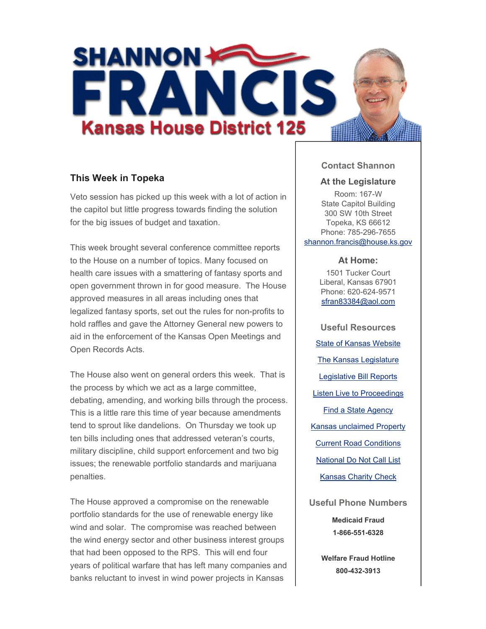

# **This Week in Topeka**

Veto session has picked up this week with a lot of action in the capitol but little progress towards finding the solution for the big issues of budget and taxation.

This week brought several conference committee reports to the House on a number of topics. Many focused on health care issues with a smattering of fantasy sports and open government thrown in for good measure. The House approved measures in all areas including ones that legalized fantasy sports, set out the rules for non-profits to hold raffles and gave the Attorney General new powers to aid in the enforcement of the Kansas Open Meetings and Open Records Acts.

The House also went on general orders this week. That is the process by which we act as a large committee, debating, amending, and working bills through the process. This is a little rare this time of year because amendments tend to sprout like dandelions. On Thursday we took up ten bills including ones that addressed veteran's courts, military discipline, child support enforcement and two big issues; the renewable portfolio standards and marijuana penalties.

The House approved a compromise on the renewable portfolio standards for the use of renewable energy like wind and solar. The compromise was reached between the wind energy sector and other business interest groups that had been opposed to the RPS. This will end four years of political warfare that has left many companies and banks reluctant to invest in wind power projects in Kansas

### **Contact Shannon**

#### **At the Legislature**

Room: 167-W State Capitol Building 300 SW 10th Street Topeka, KS 66612 Phone: 785-296-7655 shannon.francis@house.ks.gov

#### **At Home:**

1501 Tucker Court Liberal, Kansas 67901 Phone: 620-624-9571 sfran83384@aol.com

**Useful Resources** State of Kansas Website The Kansas Legislature Legislative Bill Reports Listen Live to Proceedings Find a State Agency Kansas unclaimed Property Current Road Conditions National Do Not Call List Kansas Charity Check

**Useful Phone Numbers Medicaid Fraud 1-866-551-6328**

> **Welfare Fraud Hotline 800-432-3913**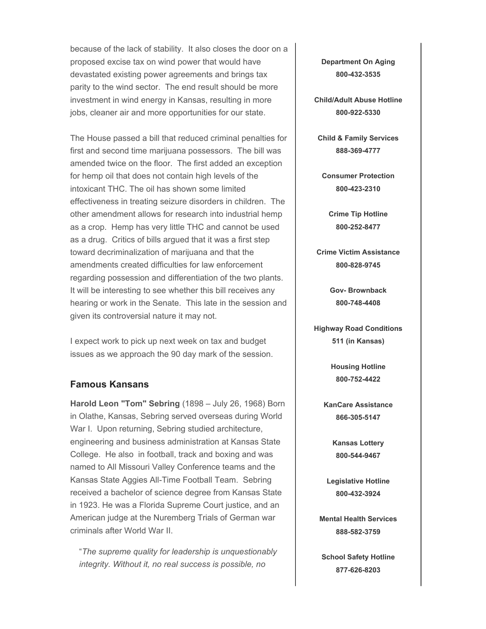because of the lack of stability. It also closes the door on a proposed excise tax on wind power that would have devastated existing power agreements and brings tax parity to the wind sector. The end result should be more investment in wind energy in Kansas, resulting in more jobs, cleaner air and more opportunities for our state.

The House passed a bill that reduced criminal penalties for first and second time marijuana possessors. The bill was amended twice on the floor. The first added an exception for hemp oil that does not contain high levels of the intoxicant THC. The oil has shown some limited effectiveness in treating seizure disorders in children. The other amendment allows for research into industrial hemp as a crop. Hemp has very little THC and cannot be used as a drug. Critics of bills argued that it was a first step toward decriminalization of marijuana and that the amendments created difficulties for law enforcement regarding possession and differentiation of the two plants. It will be interesting to see whether this bill receives any hearing or work in the Senate. This late in the session and given its controversial nature it may not.

I expect work to pick up next week on tax and budget issues as we approach the 90 day mark of the session.

## **Famous Kansans**

**Harold Leon "Tom" Sebring** (1898 – July 26, 1968) Born in Olathe, Kansas, Sebring served overseas during World War I. Upon returning, Sebring studied architecture, engineering and business administration at Kansas State College. He also in football, track and boxing and was named to All Missouri Valley Conference teams and the Kansas State Aggies All-Time Football Team. Sebring received a bachelor of science degree from Kansas State in 1923. He was a Florida Supreme Court justice, and an American judge at the Nuremberg Trials of German war criminals after World War II.

"*The supreme quality for leadership is unquestionably integrity. Without it, no real success is possible, no* 

**Department On Aging 800-432-3535**

**Child/Adult Abuse Hotline 800-922-5330**

**Child & Family Services 888-369-4777**

**Consumer Protection 800-423-2310**

**Crime Tip Hotline 800-252-8477**

**Crime Victim Assistance 800-828-9745**

> **Gov- Brownback 800-748-4408**

**Highway Road Conditions 511 (in Kansas)**

> **Housing Hotline 800-752-4422**

**KanCare Assistance 866-305-5147**

> **Kansas Lottery 800-544-9467**

**Legislative Hotline 800-432-3924**

**Mental Health Services 888-582-3759**

**School Safety Hotline 877-626-8203**